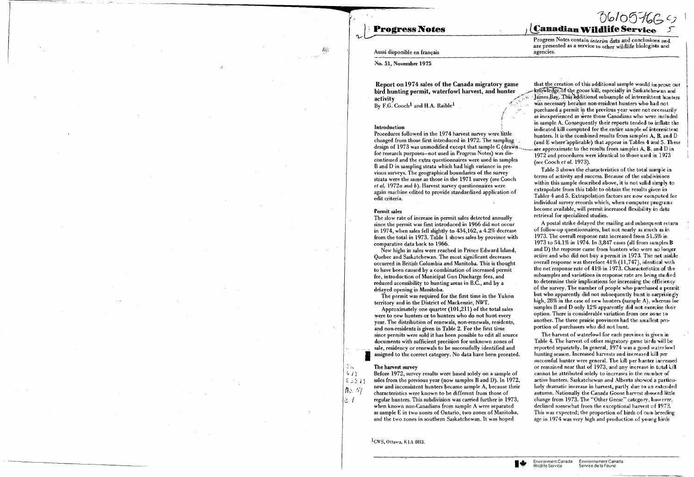## **Progress Notes**

### Aussi disponible en français

No. 51. November 1975

Report on 1974 sales of the Canada migratory game bird hunting permit, waterfowl harvest, and hunter activity

By  $F.G. Cooch<sup>1</sup>$  and H.A. Raible<sup>1</sup>

#### Introduction

Procedures followed in the 1974 harvest survey were little changed from those first introduced in 1972. The sampling design of 1973 was unmodified except that sample C (drawn. for research purposes—not used in Progress Notes) was discontinued and the extra question aires were used in samples B and D in sampling strata which had high variance in previous surveys. The geographical boundaries of the survey strata were the same as those in the 1971 survey (see Cooch *et al.* 1972*a* and  $\hat{b}$ ). Harvest survey questionnaires were again machine edited to provide standardized application of edit criteria.

#### Permit sales

The slow rate of increase in permit sales detected annually since the permit was first introduced in 1966 did not occurin 1974, when sales fell slightly to 434,162, a 4.2% decrease from the total in 1973. Table 1 shows sales by province with comparative data back to 1966.

New highs in sales were reached in Prince Edward Island, Quebec and Saskatchewan. The most significant decreases occurred in British Columbia and Manitoba. This is thought to have been caused by a combination of increased permit fee, introduction of Municipal Gun Discharge fees, and reduced accessibility to hunting areas in B.C., and by a delayed opening in Manitoba.

The permit was required for the first time in the Yukon territory and in the District of Mackenzie, NWT.

Approximately one quarter  $(101,211)$  of the total sales were to new hunters or to hunters who do not hunt every year. The distribution of renewals, non-renewals, residents, and non-residents is given in Table 2. For the first time since permits were sold it has been possible to edit all source documents with sufficient precision for unknown zones of sale, residency or renewals to be successfully identified and assigned to the correct category. No data have been prorated,

#### The harvest survey

 $5<sub>K</sub>$ 

 $4/1$ 

 $63371$ 

 $N$ . 57

û. I

Before 1972, survey results were based solely on a sample of sales from the previous year (now samples B and D). In 1972, new and inconsistent hunters became sample A, because their characteristics were known to be different from those of regular hunters. This subdivision was carried further in 1973, when known non-Canadians from sample A were separated as sample E in two zones of Ontario, two zones of Manitoba, and the two zones in southern Saskatchewan. It was hoped

<sup>1</sup>CWS, Ottawa, K1A 0H3.

∎₩

## **B61097665**5 **Canadian Wildlife Service**

Progress Notes contain *interim* data and conclusions and are presented as a service to other wildlife biologists and agencies.

that the creation of this additional sample would improve our knowledge of the goose kill, especially in Saskatchewan and James Bay. This additional subsample of intermittent hunters was necessary because non-resident hunters who had not. purchased a permit in the previous year were not necessarily as inexperienced as were those Canadians who were included in sample A. Consequently their reports tended to inflate the indicated kill computed for the entire sample of intermittent hunters. It is the combined results from samples A, B, and D (and E where applicable) that appear in Tables 4 and 5. These are approximate to the results from samples A. B. and D in 1972 and procedures were identical to those used in 1973. (see Cooch et al. 1973).

Table 3 shows the characteristics of the total sample in terms of activity and success. Because of the subdivisions within this sample described above, it is not valid simply to extrapolate from this table to obtain the results given in Tables 4 and 5. Extrapolation factors are now computed for individual survey records which, when computer programs become available, will permit increased flexibility in data retrieval for specialized studies.

A postal strike delayed the mailing and subsequent return of follow-up questionnaires, but not nearly as much as in 1973. The overall response rate increased from 51.5% in 1973 to 54.1% in 1974. In 3,847 cases (all from samples B and D) the response came from hunters who were no longer active and who did not buy a permit in 1973. The net usable overall response was therefore 41% (11,747), identical with the net response rate of 41% in 1973. Characteristics of the subsamples and variations in response rate are being studied to determine their implications for increasing the efficiency of the survey. The number of people who purchased a permit but who apparently did not subsequently hunt is surprisingly high, 28% in the case of new hunters (sample A), whereas for samples B and D only 12% apparently did not exercise their option. There is considerable variation from one zone to another. The three prairie provinces had the smallest proportion of purchasers who did not hunt.

The harvest of waterfowl for each province is given in Table 4. The harvest of other migratory game birds will be reported separately. In general, 1974 was a good waterfowl hunting season. Increased harvests and increased kill per successful hunter were general. The kill per hunter increased or remained near that of 1973, and any increase in total kill cannot be attributed solely to increases in the number of active hunters. Saskatchewan and Alberta showed a particularly dramatic increase in harvest, partly due to an extended autumn. Nationally the Canada Goose harvest showed little change from 1973. The "Other Geese" category, however, declined somewhat from the exceptional harvest of 1973. This was expected; the proportion of birds of non-breeding age in 1974 was very high and production of young birds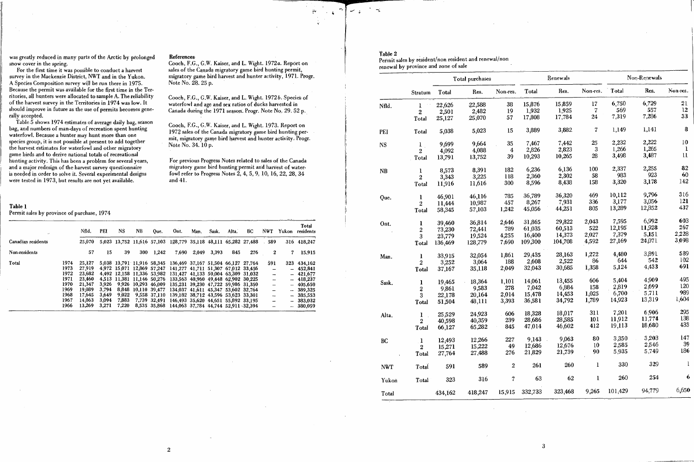was greatly reduced in many parts of the Arctic by prolonged snow cover in the spring.

For the first time it was possible to conduct a harvest survey in the Mackenzie District, NWT and in the Yukon. A Species Composition survey will be run there in 1975. Because the permit was available for the first time in the Territories, all hunters were allocated to sample A. The reliability of the harvest survey in the Territories in 1974 was low. It should improve in future as the use of permits becomes generally accepted.

Table 5 shows 1974 estimates of average daily bag, season bag, and numbers of man-days of recreation spent hunting waterfowl. Because a hunter may hunt more than one species group, it is not possible at present to add together the harvest estimates for waterfowl and other migratory game birds and to derive national totals of recreational hunting activity. This has been a problem for several years, and a major redesign of the harvest survey questionnaire is needed in order to solve it. Several experimental designs were tested in 1973, but results are not yet available.

#### References

Cooch, F.G., G.W. Kaiser, and L. Wight, 1972a. Report on sales of the Canada migratory game bird hunting permit, migratory game bird harvest and hunter activity, 1971. Progr. Note No. 28, 25 p.

Cooch, F.G., G.W. Kaiser, and L. Wight. 1972b. Species of waterfowl and age and sex ratios of ducks harvested in Canada during the 1971 season. Progr. Note No. 29. 52 p.

Cooch, F.G., G.W. Kaiser, and L. Wight. 1973. Report on 1972 sales of the Canada migratory game bird hunting permit, migratory game bird harvest and hunter activity. Progr. Note No. 34. 10 p.

For previous Progress Notes related to sales of the Canada migratory game bird hunting permit and harvest of waterfowl refer to Progress Notes 2, 4, 5, 9, 10, 16, 22, 28, 34 and 41.

#### Table 1

### Permit sales by province of purchase, 1974

|                    |      | Nfld.  | PEI   | <b>NS</b> | NB. | Oue.         | Ont.                                                           | Man.  | Sask. | Alta. | BC  | <b>NWT</b>               | Yukon | Total<br>residents |
|--------------------|------|--------|-------|-----------|-----|--------------|----------------------------------------------------------------|-------|-------|-------|-----|--------------------------|-------|--------------------|
| Canadian residents |      | 25,070 |       |           |     |              | 5,023 13,752 11,616 57,103 128,779 35,118 48,111 65,282 27,488 |       |       |       |     | .589                     |       | 316 418,247        |
| Non-residents      |      | 57     | 15    | 39        | 300 | 1,242        | 7.690                                                          | 2.049 | 3.393 | 845   | 276 | $\bf{2}$                 | 7     | 15,915             |
| Total              | 1974 | 25.127 |       |           |     |              | 5,038 13,791 11,916 58,345 136,469 37,167 51,504 66,127 27,764 |       |       |       |     | 591                      |       | 323 434.162        |
|                    | 1973 | 27.919 |       |           |     |              | 4,972 15.071 12.869 57.247 141.277 41.711 51.307 67.012 33.456 |       |       |       |     |                          |       | $-452.841$         |
|                    | 1972 | 23.682 |       |           |     |              | 4,492 12,158 11,336 53,982 131,427 41,133 50,004 63,309 31,032 |       |       |       |     | $\overline{\phantom{0}}$ |       | $-421.677$         |
|                    | 1971 | 23.460 |       |           |     |              | 4,513 11,381 11,146 50,276 133,563 40,960 49,448 62,902 30,225 |       |       |       |     |                          |       | $-418.237$         |
|                    | 1970 | 21.347 | 3.926 |           |     |              | 9,926 10,293 46,009 135,231 39,230 47,722 59,986 31,350        |       |       |       |     | $\overline{\phantom{0}}$ |       | $-405.650$         |
|                    | 1969 | 19.089 | 3.794 |           |     |              | 8,848 10,110 39,477 134,037 41,611 45,347 53,602 32,764        |       |       |       |     |                          |       | $-389,325$         |
|                    | 1968 | 17.645 | 3.649 | 9.022     |     | 9,558 37,110 | 139,182 38,712 43,596 53,623 33,301                            |       |       |       |     | -                        |       | $-385,553$         |
|                    | 1967 | 14.863 | 3.094 | 7.883     |     |              | 7,739 32,491 146,493 35,620 44,651 55,892 33,195               |       |       |       |     | ÷,                       |       | $-383,032$         |
|                    | 1966 | 13.269 | 3,271 | 7,220     |     |              | 8,535 35,868 144,063 37,784 44,744 52,911 32,394               |       |       |       |     |                          |       | $-380,059$         |

### Table 2

Permit sales by resident/non resident and renewal/non renewal by province and zone of sale

|            |                         |         | Total purchases |            |         | Renewals |                | Non-Renewals |        |              |  |
|------------|-------------------------|---------|-----------------|------------|---------|----------|----------------|--------------|--------|--------------|--|
|            | Stratum                 | Total   | Res.            | Non-res.   | Total   | Res.     | Non-res.       | Total        | Res.   | Non-res.     |  |
| Nfld.      | 1                       | 22,626  | 22,588          | 38         | 15,876  | 15,859   | $17\,$         | 6,750        | 6,729  | 21           |  |
|            | $\overline{2}$          | 2,501   | 2,482           | 19         | 1,932   | 1,925    | $\overline{7}$ | 569          | 557    | 12           |  |
|            | Total                   | 25,127  | 25,070          | 57         | 17,808  | 17,784   | 24             | 7,319        | 7,286  | 33           |  |
| PEI        | Total                   | 5,038   | 5,023           | 15         | 3,889   | 3,882    | 7              | 1,149        | 1,141  | $\bf{8}$     |  |
| NS         | $\bf{l}$                | 9,699   | 9,664           | 35         | 7,467   | 7,442    | 25             | 2,232        | 2,222  | 10           |  |
|            | $\overline{2}$          | 4,092   | 4,088           | 4          | 2,826   | 2,823    | 3              | 1,266        | 1,265  | $\mathbf{l}$ |  |
|            | Total                   | 13,791  | 13,752          | 39         | 10,293  | 10,265   | 28             | 3,498        | 3,487  | $\mathbf{u}$ |  |
| <b>NB</b>  | 1                       | 8,573   | 8,391           | 182        | 6,236   | 6,136    | 100            | 2,337        | 2,255  | 82           |  |
|            | $\overline{2}$          | 3,343   | 3,225           | 118        | 2,360   | 2,302    | 58             | 983          | 923    | 60           |  |
|            | Total                   | 11,916  | 11,616          | 300        | 8,596   | 8,438    | 158            | 3,320        | 3,178  | 142          |  |
| Que.       | ı                       | 46,901  | 46,116          | 785        | 36,789  | 36,320   | 469            | 10,112       | 9,796  | 316          |  |
|            | $\overline{2}$          | 11,444  | 10,987          | 457        | 8,267   | 7,931    | 336            | 3,177        | 3,056  | 121          |  |
|            | Total                   | 58,345  | 57,103          | 1,242      | 45,056  | 44,251   | 805            | 13,289       | 12,852 | 437          |  |
| Ont.       | $\mathbf{l}$            | 39,460  | 36,814          | 2,646      | 31,865  | 29,822   | 2,043          | 7,595        | 6,992  | 603          |  |
|            | $\boldsymbol{2}$        | 73,230  | 72,441          | 789        | 61,035  | 60,513   | 522            | 12,195       | 11,928 | 267          |  |
|            | 3                       | 23,779  | 19,524          | 4,255      | 16,400  | 14,373   | 2,027          | 7,379        | 5,151  | 2,228        |  |
|            | Total                   | 136,469 | 128,779         | 7,690      | 109,300 | 104,708  | 4,592          | 27,169       | 24,071 | 3,098        |  |
| Man.       | $\bf{l}$                | 33,915  | 32,054          | 1,861      | 29,435  | 28,163   | 1,272          | 4,480        | 3,891  | 589          |  |
|            | $\overline{2}$          | 3,252   | 3,064           | 188        | 2,608   | 2,522    | 86             | 644          | 542    | 102          |  |
|            | Total                   | 37,167  | 35,118          | 2,049      | 32,043  | 30,685   | 1,358          | 5,124        | 4,433  | 691          |  |
| Sask.      | 1                       | 19,465  | 18,364          | 1,101      | 14,061  | 13,455   | 606            | 5,404        | 4,909  | 495          |  |
|            | $\overline{\mathbf{c}}$ | 9,861   | 9,583           | 278        | 7,042   | 6,884    | 158            | 2,819        | 2,699  | 120          |  |
|            | $\overline{\mathbf{3}}$ | 22,178  | 20,164          | 2,014      | 15,478  | 14,453   | 1,025          | 6,700        | 5,711  | 989          |  |
|            | Total                   | 51,504  | 48,111          | 3,393      | 36,581  | 34,792   | 1,789          | 14,923       | 13,319 | 1,604        |  |
| Alta.      | 1                       | 25,529  | 24,923          | 606        | 18,328  | 18,017   | 311            | 7,201        | 6,906  | 295          |  |
|            | $\boldsymbol{2}$        | 40,598  | 40,359          | 239        | 28,686  | 28,585   | 101            | 11,912       | 11,774 | 138          |  |
|            | Total                   | 66,127  | 65,282          | 845        | 47,014  | 46,602   | 412            | 19,113       | 18,680 | 433          |  |
| BC         | $\mathbf{I}$            | 12,493  | 12,266          | 227        | 9,143   | 9,063    | ${\bf 80}$     | 3,350        | 3,203  | 147          |  |
|            | $\boldsymbol{2}$        | 15,271  | 15,222          | 49         | 12,686  | 12,676   | 10             | 2,585        | 2,546  | 39           |  |
|            | Total                   | 27,764  | 27,488          | 276        | 21,829  | 21,739   | 90             | 5,935        | 5,749  | 186          |  |
| <b>NWT</b> | Total                   | 591     | 589             | $\sqrt{2}$ | 261     | 260      | 1              | 330          | 329    | $\mathbf{l}$ |  |
| Yukon      | Total                   | 323     | 316             | Ź,         | 63      | 62       | $\bf{l}$       | 260          | 254    | 6            |  |
| Total      |                         | 434,162 | 418,247         | 15,915     | 332,733 | 323,468  | 9,265          | 101,429      | 94,779 | 6,650        |  |

 $\mathbf{3}$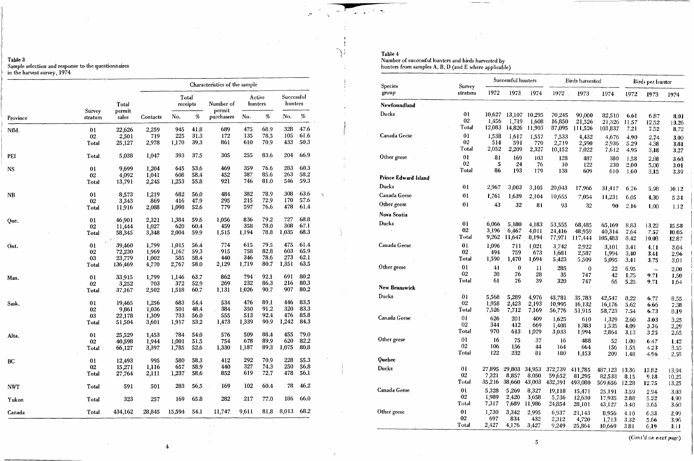# Table 3<br>Sample selection and response to the questionnaires<br>in the harvest survey, 1974

|            |                   |                 | Characteristics of the sample |                   |      |                     |                   |                |                         |      |  |  |
|------------|-------------------|-----------------|-------------------------------|-------------------|------|---------------------|-------------------|----------------|-------------------------|------|--|--|
|            |                   | Total           |                               | Total<br>receipts |      | Number of<br>permit | Active<br>hunters |                | Successful<br>hunters - |      |  |  |
| Province   | Sürvey<br>stratum | permit<br>sales | Contacts                      | No.               | $\%$ | purchasers          | No.               | $\sim$<br>$\%$ | No.                     | $\%$ |  |  |
| Nfld.      | 01                | 22,626          | 2,259                         | 945               | 41.8 | 689                 | 475               | 68.9           | 328                     | 47.6 |  |  |
|            | 02                | 2,501           | 719                           | 225               | 31.3 | 172                 | 135               | 78.5           | 105                     | 61.6 |  |  |
|            | Total             | 25,127          | 2,978                         | 1,170             | 39.3 | 861                 | 610               | 70.9           | 433                     | 50.3 |  |  |
| <b>PEI</b> | Total             | 5,038           | 1,047                         | 393               | 37.5 | 305                 | 255               | 83.6           | 204                     | 66.9 |  |  |
| <b>NS</b>  | 0 <sub>1</sub>    | 9,699           | 1,204                         | 645               | 53.6 | 469                 | 359               | 76.6           | 283                     | 60.3 |  |  |
|            | 02                | 4,092           | 1,041                         | 608               | 58.4 | 452                 | 387               | 85.6           | 263                     | 58.2 |  |  |
|            | Total             | 13,791          | 2,245                         | 1,253             | 55.8 | 921                 | 746               | 81.0           | 546                     | 59.3 |  |  |
| <b>NB</b>  | 01                | 8,573           | 1,219                         | 682               | 56.0 | 484                 | 382               | 78.9           | 308                     | 63.6 |  |  |
|            | 02                | 3,343           | 869                           | 416               | 47.9 | 295                 | 215               | 72.9           | 170                     | 57.6 |  |  |
|            | Total             | 11,916          | 2,088                         | 1,098             | 52.6 | 779                 | 597               | 76,6           | 478                     | 61.4 |  |  |
| Que.       | 01                | 46,901          | 2,321                         | 1,384             | 59.6 | 1,056               | 836               | 79.2           | 727                     | 68.8 |  |  |
|            | 02                | 11,444          | 1,027                         | 620               | 60.4 | 459                 | 358               | 78.0           | 308                     | 67.1 |  |  |
|            | Total             | 58,345          | 3,348                         | 2,004             | 59.9 | 1,515               | 1,194             | 78.8           | 1,035                   | 68.3 |  |  |
| Ont.       | 0 <sub>l</sub>    | 39,460          | 1,799                         | 1,015             | 56.4 | 774                 | 615               | 79.5           | 475                     | 61.4 |  |  |
|            | 02                | 72,230          | 1,969                         | 1,167             | 59.3 | 915                 | 758               | 82.8           | 603                     | 65.9 |  |  |
|            | 03                | 23,779          | 1,002                         | 585               | 58.4 | 440                 | 346               | 78.6           | 273                     | 62.1 |  |  |
|            | Total             | 136,469         | 4,770                         | 2,767             | 58.0 | 2,129               | 1,719             | 80.7           | 1,351                   | 63.5 |  |  |
| Man.       | 01                | 33,915          | 1,799                         | 1,146             | 63.7 | 862                 | 794               | 92.1           | 691                     | 80.2 |  |  |
|            | 02                | 3,252           | 703                           | 372               | 52.9 | 269                 | 232               | 86,3           | 216                     | 80.3 |  |  |
|            | Total             | 37,167          | 2,502                         | 1,518             | 60.7 | 1,131               | 1,026             | 90.7           | 907                     | 80.2 |  |  |
| Sask.      | 01                | 19,465          | 1,256                         | 683               | 54.4 | 534                 | 476               | 89.1           | 446                     | 83.5 |  |  |
|            | 02                | 9,861           | 1,036                         | 501               | 48.4 | 384                 | 350               | 91.2           | 320                     | 83.3 |  |  |
|            | 03                | 22,178          | 1,309                         | 733               | 56.0 | 555                 | 513               | 92.4           | 476                     | 85.8 |  |  |
|            | Total             | 51,504          | 3,601                         | 1,917             | 53.2 | 1,473               | 1,339             | 90.9           | 1,242                   | 84.3 |  |  |
| Alta.      | 0 <sub>l</sub>    | 25,529          | 1,453                         | 784               | 54.0 | 576                 | 509               | 88.4           | 455                     | 79.0 |  |  |
|            | 02                | 40,598          | 1,944                         | 1,001             | 51.5 | 754                 | 678               | 89.9           | 620                     | 82.2 |  |  |
|            | Total             | 66,127          | 3,397                         | 1,785             | 52,6 | 1,330               | 1,187             | 89.3           | 1,075                   | 80.8 |  |  |
| BC         | 01                | 12,493          | 995                           | 580               | 58.3 | 412                 | 292               | 70.9           | 228                     | 55.3 |  |  |
|            | 02                | 15,271          | 1,116                         | 657               | 58.9 | 440                 | 327               | 74.3           | 250                     | 56.8 |  |  |
|            | Total             | 27,764          | 2,111                         | 1,237             | 58.6 | 852                 | 619               | 72.7           | 478                     | 56.1 |  |  |
| NWT ·      | Total             | 591             | 501                           | 283               | 56,5 | 169                 | 10 <sub>2</sub>   | 60.4           | 78                      | 46.2 |  |  |
| Yukon      | Total             | 323             | 257                           | 169               | 65.8 | 282                 | 217               | 77.0           | 186                     | 66.0 |  |  |
| Canada     | Total             | 434,162         | 28,845                        | 15,594            | 54.1 | 11,747              | 9,611             | 81.8           | 8,013                   | 68.2 |  |  |

 $\mathcal{L}_{\mathbf{z} \sim \mathbf{z} \sim \mathcal{L}^{(1)}(\mathbf{z})}$ 

آ پ

 $\Delta$ 

 $\tilde{\mathcal{L}}$ 

Table 4<br>Number of successful hunters and birds harvested by<br>hunters from samples A, B, D (and E where applicable)

| <b>Species</b>              | Survey                        |                         | Successful hunters |                  |                  | Birds harvested   |                   |                      | Birds per hunter         |              |
|-----------------------------|-------------------------------|-------------------------|--------------------|------------------|------------------|-------------------|-------------------|----------------------|--------------------------|--------------|
| group                       | stratum                       | 1972                    | 1973               | 1974             | 1972             | 1973              | 1974              | 1972                 | 1973                     | 1974         |
| Newfoundland                |                               |                         |                    |                  |                  |                   |                   |                      |                          |              |
| Ducks                       | 01                            | 10,627                  | 13,107             | 10,295           | 70,245           | 90,000            | 82,510            | 6.61                 | 6.87                     | 8.01         |
|                             | 02                            | 1,456                   | 1,719              | 1,608            | 16,850           | 21,526            | 21,326            | 11.57                | 12.52                    | 13.26        |
|                             | Total                         | 12,083                  | 14,826             | 11,903           | 87,095           | 111,526           | 103,837           | 7.21                 | 7.52                     | 8.72         |
| <b>Canada Geese</b>         | 01                            | 1,538                   | 1,617              | 1,557            | 7,533            | 4,432             | 4,676             | 4.90                 | 2.74                     | 3.00         |
|                             | 02                            | 514                     | 591                | 770              | 2,719            | 2,590             | 2,936             | 5.29                 | 4.38                     | 3.81         |
|                             | Total                         | 2,052                   | 2,209              | 2,327            | 10,152           | 7,022             | 7,612             | 4.95                 | 3.18                     | 3.27         |
| Other geese                 | 0 <sub>l</sub><br>02<br>Total | 81<br>$\mathbf 5$<br>86 | 169<br>24<br>193   | 103<br>76<br>179 | 128<br>10<br>138 | 487<br>122<br>609 | 380<br>230<br>610 | 1.58<br>2.00<br>1.60 | 2.88<br>5.00<br>3.15     | 3.68<br>3.01 |
| <b>Prince Edward Island</b> |                               |                         |                    |                  |                  |                   |                   |                      |                          | 3.39         |
| Ducks                       | 0 <sub>l</sub>                | 2,967                   | 3,003              | 3,105            | 20,043           | 17,966            | 31,417            | 6.76                 | 5.98                     | 10.12        |
| Canada Geese                | 01                            | 1,761                   | 1,639              | 2,104            | 10,655           | 7,054             | 11,231            | 6.05                 | 4.30                     | 5.34         |
| Other geese                 | 0 <sub>l</sub>                | 43                      | 32                 | 81               | 93               | 32                | 90                | 2.16                 | 1.00                     | 1.12         |
| Nova Scotia                 |                               |                         |                    |                  |                  |                   |                   |                      |                          |              |
| <b>Ducks</b>                | 01                            | 6,066                   | 5,180              | 4,183            | 53,555           | 68,485            | 65,169            | 8.83                 | 13.22                    | 15.58        |
|                             | 02                            | 3,196                   | 6,467              | 4,011            | 24,416           | 48,959            | 40,314            | 7.64                 | 7.57                     | 10.05        |
|                             | Total                         | 9,262                   | 11,647             | 8,194            | 77,971           | 117,444           | 105,483           | 8.42                 | 10.08                    | 12.87        |
| Canada Geese                | 0 <sub>l</sub>                | 1,096                   | 711                | 1,021            | 3,742            | 2,922             | 3,101             | 3.41                 | 4.11                     | 3.04         |
|                             | 02                            | 494                     | 759                | 673              | 1,681            | 2,587             | 1,994             | 3.40                 | 3.41                     | 2.96         |
|                             | Total                         | 1,590                   | 1,470              | 1,694            | 5,423            | 5,509             | 5,095             | 3.41                 | 3.75                     | 3.01         |
| Other geese                 | 01                            | 41                      | $\bf{0}$           | $\mathbf{H}$     | 285              | $\boldsymbol{0}$  | 22                | 6.95                 | $\overline{\phantom{m}}$ | 2.00         |
|                             | 02                            | 20                      | 76                 | 28               | 35               | 747               | 42                | 1.75                 | 9.71                     | 1.50         |
|                             | Total                         | 61                      | 76                 | 39               | 320              | 747               | 65                | 5.25                 | 9.71                     | 1.64         |
| <b>New Brunswick</b>        |                               |                         |                    |                  |                  |                   |                   |                      |                          |              |
| Ducks                       | 0 <sub>l</sub>                | 5,568                   | 5,289              | 4,976            | 45,781           | 35,783            | 42,547            | 8.22                 | 6.77                     | 8.55         |
|                             | 02                            | 1,958                   | 2,423              | 2,193            | 10,995           | 16,132            | 16,176            | 5.62                 | 6.66                     | 7.38         |
|                             | <b>Total</b>                  | 7,526                   | 7,712              | 7,169            | 56,776           | 51,915            | 58,723            | 7.54                 | 6.73                     | 8.19         |
| Canada Geese                | 01                            | 626                     | 201                | 409              | 1,625            | 610               | 1,329             | 2.60                 | 3.03                     | 3.25         |
|                             | 02                            | 344                     | 412                | 669              | 1,408            | 1,383             | 1,535             | 4.09                 | 3.36                     | 2.29         |
|                             | Total                         | 970                     | 613                | 1,079            | 3,033            | 1,994             | 2,864             | 3.13                 | 3.25                     | 2.65         |
| Other geese                 | 01                            | 16                      | 75                 | 37               | 16               | 488               | 52                | 1.00                 | 6.47                     | 1.42         |
|                             | 02                            | 106                     | 156                | 44               | 164              | 664               | 156               | 1.55                 | 4.23                     | 3.55         |
|                             | Total                         | 122                     | 232                | 81               | 180              | 1,153             | 209               | 1.48                 | 4.96                     | 2.58         |
| Quebec                      |                               |                         |                    |                  |                  |                   |                   |                      |                          |              |
| <b>Ducks</b>                | 0 <sub>1</sub>                | 27,895                  | 29,803             | 34,953           | 372,739          | 411,785           | 487,123           | 13.36                | 13.82                    | 13.94        |
|                             | $02\,$                        | 7,321                   | 8,857              | 8,050            | 59,652           | 81,295            | 82,533            | 8.15                 | 9.18                     | 10.25        |
|                             | Total                         | 35,216                  | 38,660             | 43,003           | 432,391          | 493,080           | 569,656           | 12.28                | 12.75                    | 13.25        |
| Canada Geese                | 01                            | 5,328                   | 5,269              | 8,327            | 19,118           | 15,471            | 25,191            | 3.59                 | 2.94                     | 3.03         |
|                             | 02                            | 1,989                   | 2,420              | 3,658            | 5,736            | 12,630            | 17,935            | 2.88                 | 5.22                     | 4.90         |
|                             | Total                         | 7,317                   | 7,689              | 11,986           | 24,854           | 28,101            | 43,127            | 3.40                 | 3.65                     | 3.60         |
| Other geese                 | 0 <sub>1</sub>                | 1,730                   | 3,342              | 2,995            | 6,937            | 21,143            | 8,956             | 4.10                 | 6.33                     | 2.99         |
|                             | 02                            | 697                     | 834                | 432              | 2,312            | 4,720             | 1,713             | 3.32                 | 5.66                     | 3.96         |
|                             | Total                         | 2,427                   | 4,176              | 3,427            | 9,249            | 25,864            | 10,669            | 3.81                 | 6.19                     | 3.11         |

 $\overline{4}$ 

(Cont'd on next page)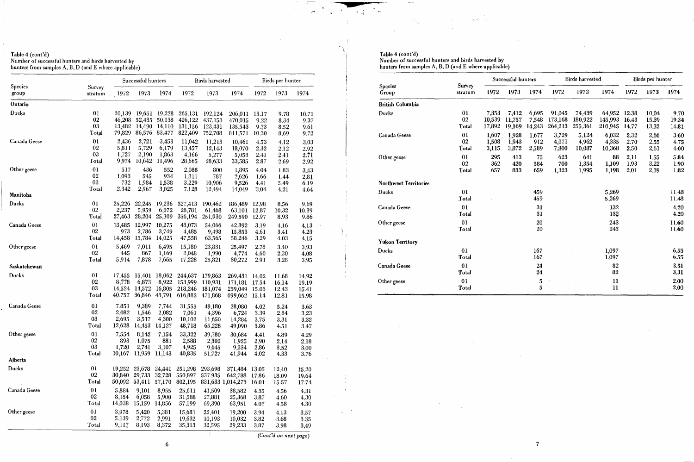# Table 4 (cont'd)<br>Number of successful hunters and birds harvested by<br>hunters from samples A, B, D (and E where applicable)

|                  |                   |                  | Successful hunters             |                         |                               | <b>Birds</b> harvested |                                         | Birds per hunter        |                         |                         |
|------------------|-------------------|------------------|--------------------------------|-------------------------|-------------------------------|------------------------|-----------------------------------------|-------------------------|-------------------------|-------------------------|
| Species<br>group | Survey<br>stratum | 1972             | 1973                           | 1974                    | 1972                          | 1973                   | 1974                                    | 1972                    | 1973                    | 1974                    |
| Ontario          |                   |                  |                                |                         |                               |                        |                                         |                         |                         |                         |
| Ducks            | 0 <sub>1</sub>    | 20,139           | 19,651                         | 19,228                  | 265,131                       | 192,124                | 206,011                                 | 13.17                   | 9.78                    | 10.71                   |
|                  | $02\,$            | 46,208           | 52,435                         | 50,138                  | 426,122                       | 437,153                | 470,015                                 | 9.22                    | 8.34                    | 9.37                    |
|                  | 03                | 13,482           | 14,490                         | 14,110                  | 131,156                       | 123,431                | 135,543                                 | 9.73                    | 8.52                    | 9.61                    |
|                  | Total             | 79,829           | 86,576                         | 83,477                  | 822,409                       | 752,708                | 811,571                                 | 10.30                   | 8.69                    | 9.72                    |
| Canada Geese     | 01                | 2,436            | 2,721                          | 3,453                   | 11,042                        | 11,213                 | 10,461                                  | 4.53                    | 4.12                    | 3.03                    |
|                  | 02                | 5,811            | 5,729                          | 6,179                   | 13,457                        | 12,143                 | 18,070                                  | 2.32                    | 2.12                    | 2.92                    |
|                  | 03                | 1,727            | 2,190                          | 1,863                   | 4,166                         | 5,277                  | 5,053                                   | 2.41                    | 2.41                    | 2.71                    |
|                  | Total             | 9,974            | 10,642                         | 11,496                  | 28,665                        | 28,633                 | 33,585                                  | 2.87                    | 2.69                    | 2.92                    |
| Other geese      | 0 <sub>l</sub>    | 517              | 436                            | 552                     | 2,088                         | 800                    | 1,895                                   | 4.04                    | 1.83                    | 3.43                    |
|                  | 02                | 1,093            | 545                            | 934                     | 1,811                         | 787                    | 2,626                                   | 1.66                    | 1.44                    | 2.81                    |
|                  | 03                | 732              | 1,984                          | 1,538                   | 3,229                         | 10,906                 | 9,526                                   | 4.41                    | 5.49                    | 6.19                    |
|                  | Total             | 2,342            | 2,967                          | 3,025                   | 7,128                         | 12,494                 | 14,049                                  | 3.04                    | 4.21                    | 4.64                    |
| Manitoba         |                   |                  |                                |                         |                               |                        |                                         |                         |                         |                         |
| <b>Ducks</b>     | 01                | 25,226           | 22,245                         | 19,236                  | 327,413                       | 190,462                | 186,489                                 | 12.98                   | 8.56                    | 9.69                    |
|                  | 02                | 2,237            | 5,959                          | 6,072                   | 28,781                        | 61,468                 | 63,101                                  | 12,87                   | 10.32                   | 10.39                   |
|                  | Total             | 27,463           | 28,204                         | 25,309                  | 356,194                       | 251,930                | 249,590                                 | 12.97                   | 8.93                    | 9.86                    |
| Canada Geese     | 0 <sub>1</sub>    | 13,485           | 12,997                         | 10,275                  | 43,073                        | 54,066                 | 42,392                                  | 3.19                    | 4.16                    | 4.13                    |
|                  | $02\,$            | 973              | 2,786                          | 3,749                   | 4,485                         | 9,498                  | 15,853                                  | 4.61                    | 3.41                    | 4.23                    |
|                  | Total             | 14,458           | 15,784                         | 14,025                  | 47,558                        | 63,565                 | 58,246                                  | 3.29                    | 4.03                    | 4.15                    |
| Other geese      | 01                | 5,469            | 7,011                          | 6,495                   | 15,180                        | 23,831                 | 25,497                                  | 2.78                    | 3.40                    | 3.93                    |
|                  | 02                | 445              | 867                            | 1,169                   | 2,048                         | 1,990                  | 4,774                                   | 4.60                    | 2.30                    | 4.08                    |
|                  | Total             | 5,914            | 7,878                          | 7,665                   | 17,228                        | 25,821                 | 30,272                                  | 2.91                    | 3.28                    | 3.95                    |
| Saskatchewan     |                   |                  |                                |                         |                               |                        |                                         |                         |                         |                         |
| <b>Ducks</b>     | 01                | 17,455           | 15,401                         | 18,062                  | 244,637                       | 179,863                | 269,431                                 | 14.02                   | 11.68                   | 14.92                   |
|                  | 02                | 8,778            | 6,873                          | 8,922                   | 153,999                       | 110,931                | 171,181                                 | 17.54                   | 16.14                   | 19.19                   |
|                  | 03                | 14,524           | 14,572                         | 16,805                  | 218,246                       | 181,074                | 259,049                                 | 15.03                   | 12.43                   | 15.41                   |
|                  | Total             | 40,757           | 36,846                         | 43,791                  | 616,882                       | 471,868                | 699,662                                 | 15.14                   | 12.81                   | 15.98                   |
| Canada Geese     | 0 <sub>1</sub>    | 7,851            | 9,389                          | 7,744                   | 31,555                        | 49,180                 | 28,080                                  | 4.02                    | 5.24                    | 3.63                    |
|                  | 02                | 2,082            | 1,546                          | 2,082                   | 7,061                         | 4,396                  | 6,724                                   | 3.39                    | 2.84                    | 3.23                    |
|                  | 03                | 2,695            | 3,517                          | 4,300                   | 10,102                        | 11,650                 | 14,284                                  | 3.75                    | 3.31                    | 3.32                    |
|                  | Total             | 12,628           | 14,453                         | 14,127                  | 48,718                        | 65,228                 | 49,090                                  | 3.86                    | 4,51                    | 3,47                    |
| Other geese      | 01                | 7,554            | 8,142                          | 7,154                   | 33,322                        | 39,780                 | 30,684                                  | 4.41                    | 4.89                    | 4.29                    |
|                  | 02                | 893              | 1,075                          | 881                     | 2,588                         | 2,302                  | 1,925                                   | 2.90                    | 2.14                    | 2.18                    |
|                  | 03                | 1,720            | 2,741                          | 3,107                   | 4,925                         | 9,645                  | 9,334                                   | 2.86                    | 3.52                    | 3.00                    |
|                  | Total             | 10,167           | 11,959                         | 11,143                  | 40,835                        | 51,727                 | 41,944                                  | 4.02                    | 4.33                    | 3.76                    |
| Alberta          |                   |                  |                                |                         |                               |                        |                                         |                         |                         |                         |
| Ducks            | 01<br>02<br>Total | 19,252<br>30,840 | 23,678<br>50,092 53,411 57,170 | 24,441<br>29,733 32,728 | 251,298<br>550,897<br>802,195 | 293,698<br>537,935     | 371,484<br>642,788<br>831,633 1,014,273 | 13.05<br>17.86<br>16.01 | 12.40<br>18.09<br>15.57 | 15,20<br>19.64<br>17.74 |
| Canada Geese     | 01                | 5,884            | 9,101                          | 8,955                   | 25,611                        | 41,509                 | 38,582                                  | 4.35                    | 4.56                    | 4.31                    |
|                  | 02                | 8,154            | 6,058                          | 5,900                   | 31,588                        | 27,881                 | 25,368                                  | 3.87                    | 4.60                    | 4.30                    |
|                  | Total             | 14,038           | 15,159                         | 14,856                  | 57,199                        | 69,390                 | 63,951                                  | 4.07                    | 4.58                    | 4.30                    |
| Other geese      | 01                | 3,978            | 5,420                          | 5,381                   | 15,681                        | 22,401                 | 19,200                                  | 3.94                    | 4.13                    | 3.57                    |
|                  | 02                | 5,139            | 2,772                          | 2,991                   | 19,632                        | 10,193                 | 10,032                                  | 3.82                    | $-3.68$                 | 3.35                    |
|                  | Total             | 9,117            | 8,193                          | 8,372                   | 35,313                        | 32,595                 | 29,233                                  | 3.87                    | 3.98                    | 3.49                    |

البس

Table 4 (cont'd)<br>Number of successful hunters and birds harvested by<br>hunters from samples A, B, D (and E where applicable)

 $\sim 10^4$ 

|                              |                               |                           | Süccessfül hünters        |                          |                              | <b>Birds</b> harvested       | Birds per hunter              |                         |                         |                        |
|------------------------------|-------------------------------|---------------------------|---------------------------|--------------------------|------------------------------|------------------------------|-------------------------------|-------------------------|-------------------------|------------------------|
| Species<br>Group             | Survey<br>stratum             | 1972                      | 1973                      | 1974                     | 1972                         | 1973                         | 1974                          | 1972                    | 1973                    | 1974                   |
| <b>British Columbia</b>      |                               |                           |                           |                          |                              |                              |                               |                         |                         |                        |
| Ducks                        | 01<br>02<br>Total             | 7,353<br>10,539<br>17,892 | 7,412<br>11.757<br>19,169 | 6,695<br>7,548<br>14,243 | 91,045<br>173,168<br>264,213 | 74,439<br>180,922<br>255,361 | 64,952<br>145,993<br>210,945  | 12.38<br>16.43<br>14.77 | 10.04<br>15.39<br>13.32 | 9.70<br>19,34<br>14.81 |
| Canada Geese                 | 0 <sub>l</sub><br>02<br>Total | 1,607<br>1,508<br>3,115   | 1,928<br>1,943<br>3,872   | 1,677<br>912<br>2,589    | 3,729<br>4,071<br>7,800      | 5,124<br>4,962<br>10,087     | 6,032<br>4,335<br>10,368      | 2.32<br>2.70<br>2.50    | 2.66<br>2.55<br>2.61    | 3.60<br>4.75<br>4.00   |
| Other geese                  | 01<br>02<br>Total             | 295<br>362<br>657         | 413<br>420<br>833         | 75<br>584<br>659         | 623<br>700<br>1,323          | 641<br>1,354<br>1,995        | 88<br>1,109<br>1,198          | 2.11<br>1.93<br>2.01    | 1.55<br>3.22<br>2.39    | 5.84<br>1.90<br>1.82   |
| <b>Northwest Territories</b> |                               |                           |                           |                          |                              |                              |                               |                         |                         |                        |
| <b>Ducks</b>                 | 01<br>Total                   |                           |                           | 459<br>459               |                              |                              | 5,269<br>5,269                |                         |                         | 11.48<br>11.48         |
| Canada Geese                 | 0 <sub>1</sub><br>Total       |                           |                           | 31<br>31                 |                              |                              | 132<br>132                    |                         |                         | 4.20<br>4.20           |
| Other geese                  | 01<br>Total                   |                           |                           | <b>20</b><br>20          |                              |                              | 243<br>243                    |                         |                         | 11.60<br>11.60         |
| <b>Yukon Territory</b>       |                               |                           |                           |                          |                              |                              |                               |                         |                         |                        |
| <b>Ducks</b>                 | 01<br>Total                   |                           |                           | 167<br>167               |                              |                              | 1,097<br>1,097                |                         |                         | 6.55<br>6.55           |
| Canada Geese                 | 01<br>Total                   |                           |                           | 24<br>24                 |                              |                              | 82<br>82                      |                         |                         | 3.31<br>3.31           |
| Other geese                  | 01<br>Total                   |                           |                           | $\frac{5}{5}$            |                              |                              | $\mathbf{H}$<br>$\mathbf{11}$ |                         |                         | 2.00<br>2.00           |

(Cont'd on next page)

 $\rightarrow$